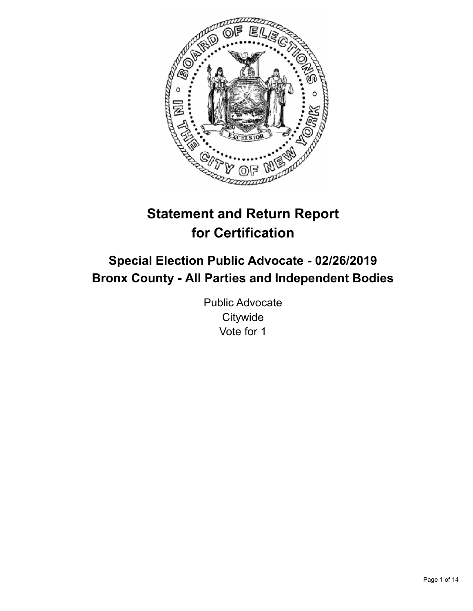

# **Statement and Return Report for Certification**

## **Special Election Public Advocate - 02/26/2019 Bronx County - All Parties and Independent Bodies**

Public Advocate **Citywide** Vote for 1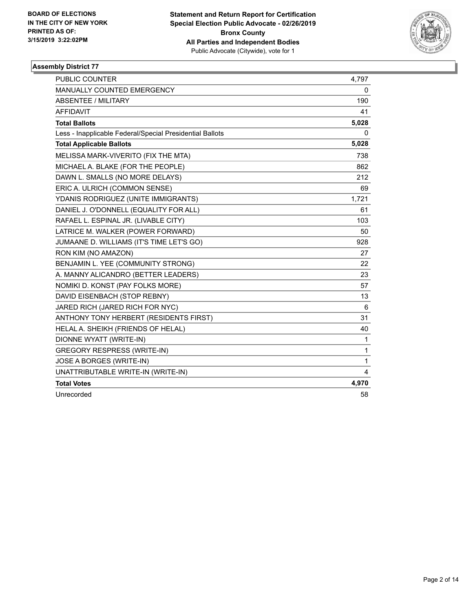

| <b>PUBLIC COUNTER</b>                                    | 4,797        |
|----------------------------------------------------------|--------------|
| MANUALLY COUNTED EMERGENCY                               | 0            |
| <b>ABSENTEE / MILITARY</b>                               | 190          |
| <b>AFFIDAVIT</b>                                         | 41           |
| <b>Total Ballots</b>                                     | 5,028        |
| Less - Inapplicable Federal/Special Presidential Ballots | 0            |
| <b>Total Applicable Ballots</b>                          | 5,028        |
| MELISSA MARK-VIVERITO (FIX THE MTA)                      | 738          |
| MICHAEL A. BLAKE (FOR THE PEOPLE)                        | 862          |
| DAWN L. SMALLS (NO MORE DELAYS)                          | 212          |
| ERIC A. ULRICH (COMMON SENSE)                            | 69           |
| YDANIS RODRIGUEZ (UNITE IMMIGRANTS)                      | 1,721        |
| DANIEL J. O'DONNELL (EQUALITY FOR ALL)                   | 61           |
| RAFAEL L. ESPINAL JR. (LIVABLE CITY)                     | 103          |
| LATRICE M. WALKER (POWER FORWARD)                        | 50           |
| JUMAANE D. WILLIAMS (IT'S TIME LET'S GO)                 | 928          |
| RON KIM (NO AMAZON)                                      | 27           |
| BENJAMIN L. YEE (COMMUNITY STRONG)                       | 22           |
| A. MANNY ALICANDRO (BETTER LEADERS)                      | 23           |
| NOMIKI D. KONST (PAY FOLKS MORE)                         | 57           |
| DAVID EISENBACH (STOP REBNY)                             | 13           |
| JARED RICH (JARED RICH FOR NYC)                          | 6            |
| ANTHONY TONY HERBERT (RESIDENTS FIRST)                   | 31           |
| HELAL A. SHEIKH (FRIENDS OF HELAL)                       | 40           |
| DIONNE WYATT (WRITE-IN)                                  | 1            |
| <b>GREGORY RESPRESS (WRITE-IN)</b>                       | $\mathbf{1}$ |
| JOSE A BORGES (WRITE-IN)                                 | $\mathbf{1}$ |
| UNATTRIBUTABLE WRITE-IN (WRITE-IN)                       | 4            |
| <b>Total Votes</b>                                       | 4,970        |
| Unrecorded                                               | 58           |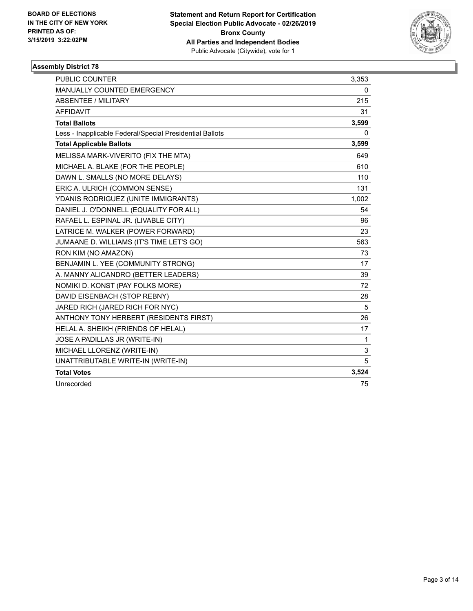

| <b>PUBLIC COUNTER</b>                                    | 3,353        |
|----------------------------------------------------------|--------------|
| <b>MANUALLY COUNTED EMERGENCY</b>                        | 0            |
| ABSENTEE / MILITARY                                      | 215          |
| <b>AFFIDAVIT</b>                                         | 31           |
| <b>Total Ballots</b>                                     | 3,599        |
| Less - Inapplicable Federal/Special Presidential Ballots | 0            |
| <b>Total Applicable Ballots</b>                          | 3,599        |
| MELISSA MARK-VIVERITO (FIX THE MTA)                      | 649          |
| MICHAEL A. BLAKE (FOR THE PEOPLE)                        | 610          |
| DAWN L. SMALLS (NO MORE DELAYS)                          | 110          |
| ERIC A. ULRICH (COMMON SENSE)                            | 131          |
| YDANIS RODRIGUEZ (UNITE IMMIGRANTS)                      | 1,002        |
| DANIEL J. O'DONNELL (EQUALITY FOR ALL)                   | 54           |
| RAFAEL L. ESPINAL JR. (LIVABLE CITY)                     | 96           |
| LATRICE M. WALKER (POWER FORWARD)                        | 23           |
| JUMAANE D. WILLIAMS (IT'S TIME LET'S GO)                 | 563          |
| RON KIM (NO AMAZON)                                      | 73           |
| BENJAMIN L. YEE (COMMUNITY STRONG)                       | 17           |
| A. MANNY ALICANDRO (BETTER LEADERS)                      | 39           |
| NOMIKI D. KONST (PAY FOLKS MORE)                         | 72           |
| DAVID EISENBACH (STOP REBNY)                             | 28           |
| JARED RICH (JARED RICH FOR NYC)                          | 5            |
| ANTHONY TONY HERBERT (RESIDENTS FIRST)                   | 26           |
| HELAL A. SHEIKH (FRIENDS OF HELAL)                       | 17           |
| JOSE A PADILLAS JR (WRITE-IN)                            | $\mathbf{1}$ |
| MICHAEL LLORENZ (WRITE-IN)                               | 3            |
| UNATTRIBUTABLE WRITE-IN (WRITE-IN)                       | 5            |
| <b>Total Votes</b>                                       | 3,524        |
| Unrecorded                                               | 75           |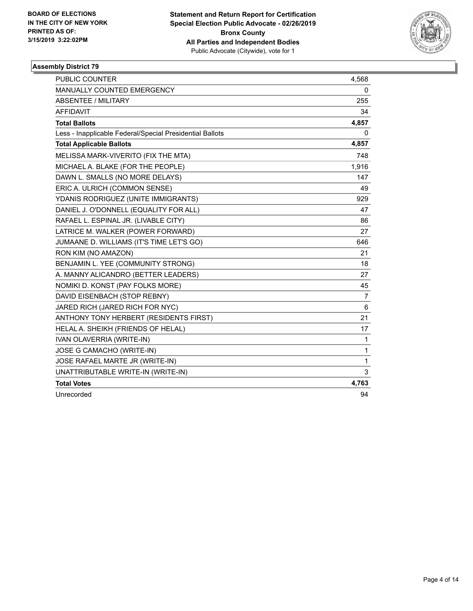

| <b>PUBLIC COUNTER</b>                                    | 4,568          |
|----------------------------------------------------------|----------------|
| MANUALLY COUNTED EMERGENCY                               | 0              |
| <b>ABSENTEE / MILITARY</b>                               | 255            |
| <b>AFFIDAVIT</b>                                         | 34             |
| <b>Total Ballots</b>                                     | 4,857          |
| Less - Inapplicable Federal/Special Presidential Ballots | 0              |
| <b>Total Applicable Ballots</b>                          | 4,857          |
| MELISSA MARK-VIVERITO (FIX THE MTA)                      | 748            |
| MICHAEL A. BLAKE (FOR THE PEOPLE)                        | 1,916          |
| DAWN L. SMALLS (NO MORE DELAYS)                          | 147            |
| ERIC A. ULRICH (COMMON SENSE)                            | 49             |
| YDANIS RODRIGUEZ (UNITE IMMIGRANTS)                      | 929            |
| DANIEL J. O'DONNELL (EQUALITY FOR ALL)                   | 47             |
| RAFAEL L. ESPINAL JR. (LIVABLE CITY)                     | 86             |
| LATRICE M. WALKER (POWER FORWARD)                        | 27             |
| JUMAANE D. WILLIAMS (IT'S TIME LET'S GO)                 | 646            |
| RON KIM (NO AMAZON)                                      | 21             |
| BENJAMIN L. YEE (COMMUNITY STRONG)                       | 18             |
| A. MANNY ALICANDRO (BETTER LEADERS)                      | 27             |
| NOMIKI D. KONST (PAY FOLKS MORE)                         | 45             |
| DAVID EISENBACH (STOP REBNY)                             | $\overline{7}$ |
| JARED RICH (JARED RICH FOR NYC)                          | 6              |
| ANTHONY TONY HERBERT (RESIDENTS FIRST)                   | 21             |
| HELAL A. SHEIKH (FRIENDS OF HELAL)                       | 17             |
| IVAN OLAVERRIA (WRITE-IN)                                | $\mathbf{1}$   |
| JOSE G CAMACHO (WRITE-IN)                                | 1              |
| JOSE RAFAEL MARTE JR (WRITE-IN)                          | $\mathbf{1}$   |
| UNATTRIBUTABLE WRITE-IN (WRITE-IN)                       | 3              |
| <b>Total Votes</b>                                       | 4,763          |
| Unrecorded                                               | 94             |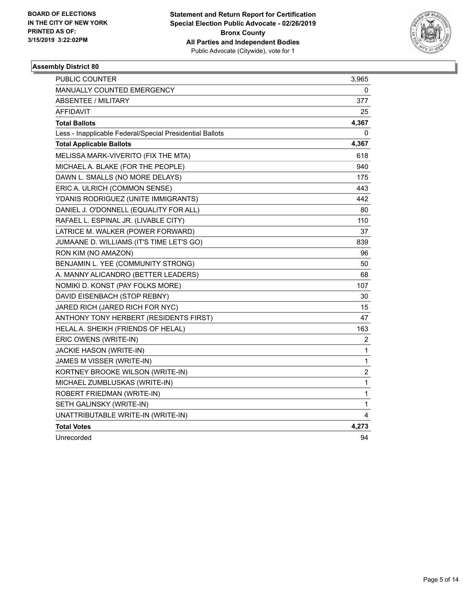

| <b>PUBLIC COUNTER</b>                                    | 3,965                   |
|----------------------------------------------------------|-------------------------|
| MANUALLY COUNTED EMERGENCY                               | 0                       |
| <b>ABSENTEE / MILITARY</b>                               | 377                     |
| <b>AFFIDAVIT</b>                                         | 25                      |
| <b>Total Ballots</b>                                     | 4,367                   |
| Less - Inapplicable Federal/Special Presidential Ballots | 0                       |
| <b>Total Applicable Ballots</b>                          | 4,367                   |
| MELISSA MARK-VIVERITO (FIX THE MTA)                      | 618                     |
| MICHAEL A. BLAKE (FOR THE PEOPLE)                        | 940                     |
| DAWN L. SMALLS (NO MORE DELAYS)                          | 175                     |
| ERIC A. ULRICH (COMMON SENSE)                            | 443                     |
| YDANIS RODRIGUEZ (UNITE IMMIGRANTS)                      | 442                     |
| DANIEL J. O'DONNELL (EQUALITY FOR ALL)                   | 80                      |
| RAFAEL L. ESPINAL JR. (LIVABLE CITY)                     | 110                     |
| LATRICE M. WALKER (POWER FORWARD)                        | 37                      |
| JUMAANE D. WILLIAMS (IT'S TIME LET'S GO)                 | 839                     |
| RON KIM (NO AMAZON)                                      | 96                      |
| BENJAMIN L. YEE (COMMUNITY STRONG)                       | 50                      |
| A. MANNY ALICANDRO (BETTER LEADERS)                      | 68                      |
| NOMIKI D. KONST (PAY FOLKS MORE)                         | 107                     |
| DAVID EISENBACH (STOP REBNY)                             | 30                      |
| JARED RICH (JARED RICH FOR NYC)                          | 15                      |
| ANTHONY TONY HERBERT (RESIDENTS FIRST)                   | 47                      |
| HELAL A. SHEIKH (FRIENDS OF HELAL)                       | 163                     |
| ERIC OWENS (WRITE-IN)                                    | $\overline{\mathbf{c}}$ |
| <b>JACKIE HASON (WRITE-IN)</b>                           | $\mathbf{1}$            |
| JAMES M VISSER (WRITE-IN)                                | $\mathbf{1}$            |
| KORTNEY BROOKE WILSON (WRITE-IN)                         | $\overline{\mathbf{c}}$ |
| MICHAEL ZUMBLUSKAS (WRITE-IN)                            | $\mathbf{1}$            |
| ROBERT FRIEDMAN (WRITE-IN)                               | $\mathbf{1}$            |
| SETH GALINSKY (WRITE-IN)                                 | $\mathbf{1}$            |
| UNATTRIBUTABLE WRITE-IN (WRITE-IN)                       | 4                       |
| <b>Total Votes</b>                                       | 4,273                   |
| Unrecorded                                               | 94                      |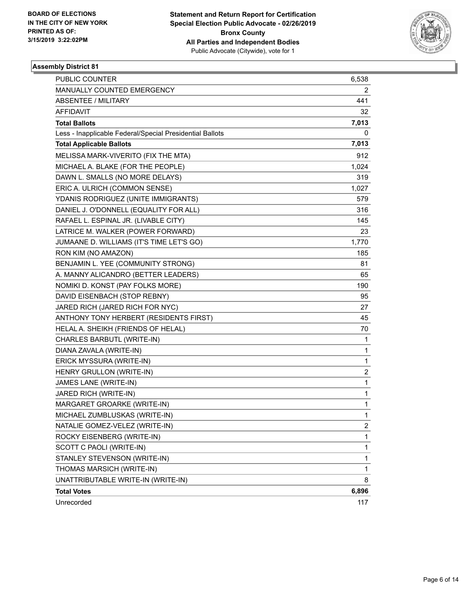

| PUBLIC COUNTER                                           | 6,538        |
|----------------------------------------------------------|--------------|
| MANUALLY COUNTED EMERGENCY                               | 2            |
| <b>ABSENTEE / MILITARY</b>                               | 441          |
| AFFIDAVIT                                                | 32           |
| <b>Total Ballots</b>                                     | 7,013        |
| Less - Inapplicable Federal/Special Presidential Ballots | 0            |
| <b>Total Applicable Ballots</b>                          | 7,013        |
| MELISSA MARK-VIVERITO (FIX THE MTA)                      | 912          |
| MICHAEL A. BLAKE (FOR THE PEOPLE)                        | 1,024        |
| DAWN L. SMALLS (NO MORE DELAYS)                          | 319          |
| ERIC A. ULRICH (COMMON SENSE)                            | 1,027        |
| YDANIS RODRIGUEZ (UNITE IMMIGRANTS)                      | 579          |
| DANIEL J. O'DONNELL (EQUALITY FOR ALL)                   | 316          |
| RAFAEL L. ESPINAL JR. (LIVABLE CITY)                     | 145          |
| LATRICE M. WALKER (POWER FORWARD)                        | 23           |
| JUMAANE D. WILLIAMS (IT'S TIME LET'S GO)                 | 1,770        |
| RON KIM (NO AMAZON)                                      | 185          |
| BENJAMIN L. YEE (COMMUNITY STRONG)                       | 81           |
| A. MANNY ALICANDRO (BETTER LEADERS)                      | 65           |
| NOMIKI D. KONST (PAY FOLKS MORE)                         | 190          |
| DAVID EISENBACH (STOP REBNY)                             | 95           |
| JARED RICH (JARED RICH FOR NYC)                          | 27           |
| ANTHONY TONY HERBERT (RESIDENTS FIRST)                   | 45           |
| HELAL A. SHEIKH (FRIENDS OF HELAL)                       | 70           |
| CHARLES BARBUTL (WRITE-IN)                               | 1            |
| DIANA ZAVALA (WRITE-IN)                                  | $\mathbf 1$  |
| ERICK MYSSURA (WRITE-IN)                                 | 1            |
| HENRY GRULLON (WRITE-IN)                                 | 2            |
| JAMES LANE (WRITE-IN)                                    | 1            |
| JARED RICH (WRITE-IN)                                    | 1            |
| MARGARET GROARKE (WRITE-IN)                              | 1            |
| MICHAEL ZUMBLUSKAS (WRITE-IN)                            | $\mathbf{1}$ |
| NATALIE GOMEZ-VELEZ (WRITE-IN)                           | $\mathbf{2}$ |
| ROCKY EISENBERG (WRITE-IN)                               | 1            |
| SCOTT C PAOLI (WRITE-IN)                                 | 1            |
| STANLEY STEVENSON (WRITE-IN)                             | 1            |
| THOMAS MARSICH (WRITE-IN)                                | 1            |
| UNATTRIBUTABLE WRITE-IN (WRITE-IN)                       | 8            |
| <b>Total Votes</b>                                       | 6,896        |
| Unrecorded                                               | 117          |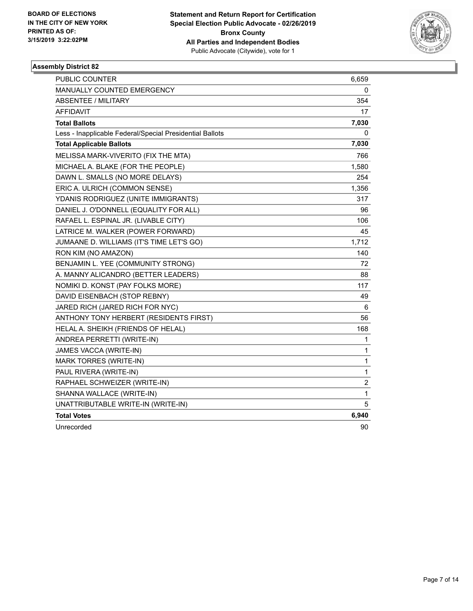

| PUBLIC COUNTER                                           | 6,659          |
|----------------------------------------------------------|----------------|
| MANUALLY COUNTED EMERGENCY                               | 0              |
| <b>ABSENTEE / MILITARY</b>                               | 354            |
| AFFIDAVIT                                                | 17             |
| <b>Total Ballots</b>                                     | 7,030          |
| Less - Inapplicable Federal/Special Presidential Ballots | 0              |
| <b>Total Applicable Ballots</b>                          | 7,030          |
| MELISSA MARK-VIVERITO (FIX THE MTA)                      | 766            |
| MICHAEL A. BLAKE (FOR THE PEOPLE)                        | 1,580          |
| DAWN L. SMALLS (NO MORE DELAYS)                          | 254            |
| ERIC A. ULRICH (COMMON SENSE)                            | 1,356          |
| YDANIS RODRIGUEZ (UNITE IMMIGRANTS)                      | 317            |
| DANIEL J. O'DONNELL (EQUALITY FOR ALL)                   | 96             |
| RAFAEL L. ESPINAL JR. (LIVABLE CITY)                     | 106            |
| LATRICE M. WALKER (POWER FORWARD)                        | 45             |
| JUMAANE D. WILLIAMS (IT'S TIME LET'S GO)                 | 1,712          |
| RON KIM (NO AMAZON)                                      | 140            |
| BENJAMIN L. YEE (COMMUNITY STRONG)                       | 72             |
| A. MANNY ALICANDRO (BETTER LEADERS)                      | 88             |
| NOMIKI D. KONST (PAY FOLKS MORE)                         | 117            |
| DAVID EISENBACH (STOP REBNY)                             | 49             |
| JARED RICH (JARED RICH FOR NYC)                          | 6              |
| ANTHONY TONY HERBERT (RESIDENTS FIRST)                   | 56             |
| HELAL A. SHEIKH (FRIENDS OF HELAL)                       | 168            |
| ANDREA PERRETTI (WRITE-IN)                               | 1              |
| JAMES VACCA (WRITE-IN)                                   | 1              |
| <b>MARK TORRES (WRITE-IN)</b>                            | 1              |
| PAUL RIVERA (WRITE-IN)                                   | $\mathbf{1}$   |
| RAPHAEL SCHWEIZER (WRITE-IN)                             | $\overline{c}$ |
| SHANNA WALLACE (WRITE-IN)                                | 1              |
| UNATTRIBUTABLE WRITE-IN (WRITE-IN)                       | 5              |
| <b>Total Votes</b>                                       | 6,940          |
| Unrecorded                                               | 90             |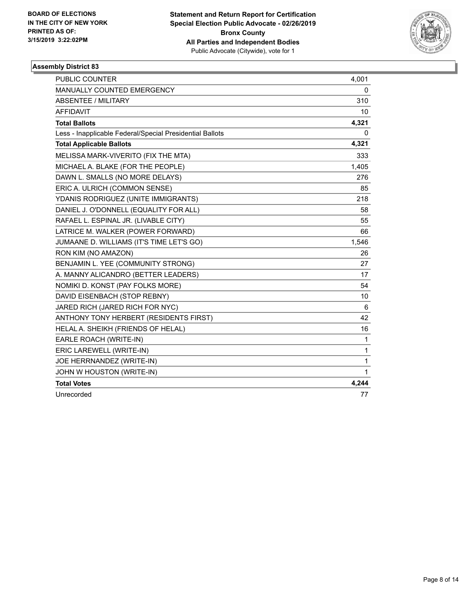

| <b>PUBLIC COUNTER</b>                                    | 4,001        |
|----------------------------------------------------------|--------------|
| MANUALLY COUNTED EMERGENCY                               | 0            |
| <b>ABSENTEE / MILITARY</b>                               | 310          |
| <b>AFFIDAVIT</b>                                         | 10           |
| <b>Total Ballots</b>                                     | 4,321        |
| Less - Inapplicable Federal/Special Presidential Ballots | 0            |
| <b>Total Applicable Ballots</b>                          | 4,321        |
| MELISSA MARK-VIVERITO (FIX THE MTA)                      | 333          |
| MICHAEL A. BLAKE (FOR THE PEOPLE)                        | 1,405        |
| DAWN L. SMALLS (NO MORE DELAYS)                          | 276          |
| ERIC A. ULRICH (COMMON SENSE)                            | 85           |
| YDANIS RODRIGUEZ (UNITE IMMIGRANTS)                      | 218          |
| DANIEL J. O'DONNELL (EQUALITY FOR ALL)                   | 58           |
| RAFAEL L. ESPINAL JR. (LIVABLE CITY)                     | 55           |
| LATRICE M. WALKER (POWER FORWARD)                        | 66           |
| JUMAANE D. WILLIAMS (IT'S TIME LET'S GO)                 | 1,546        |
| RON KIM (NO AMAZON)                                      | 26           |
| BENJAMIN L. YEE (COMMUNITY STRONG)                       | 27           |
| A. MANNY ALICANDRO (BETTER LEADERS)                      | 17           |
| NOMIKI D. KONST (PAY FOLKS MORE)                         | 54           |
| DAVID EISENBACH (STOP REBNY)                             | 10           |
| JARED RICH (JARED RICH FOR NYC)                          | 6            |
| ANTHONY TONY HERBERT (RESIDENTS FIRST)                   | 42           |
| HELAL A. SHEIKH (FRIENDS OF HELAL)                       | 16           |
| EARLE ROACH (WRITE-IN)                                   | 1            |
| ERIC LAREWELL (WRITE-IN)                                 | $\mathbf{1}$ |
| JOE HERRNANDEZ (WRITE-IN)                                | $\mathbf{1}$ |
| JOHN W HOUSTON (WRITE-IN)                                | 1            |
| <b>Total Votes</b>                                       | 4,244        |
| Unrecorded                                               | 77           |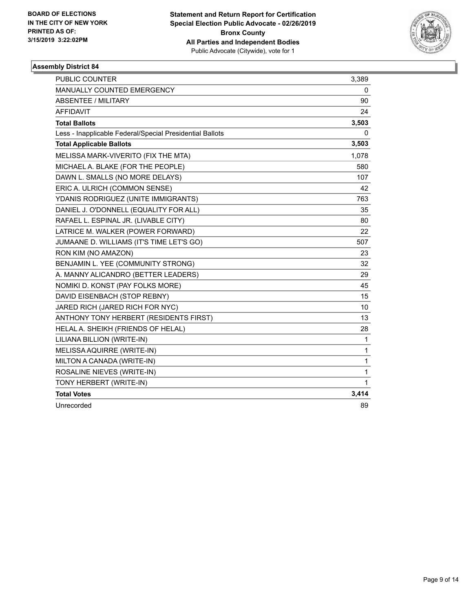

| <b>PUBLIC COUNTER</b>                                    | 3,389        |
|----------------------------------------------------------|--------------|
| MANUALLY COUNTED EMERGENCY                               | 0            |
| <b>ABSENTEE / MILITARY</b>                               | 90           |
| <b>AFFIDAVIT</b>                                         | 24           |
| <b>Total Ballots</b>                                     | 3,503        |
| Less - Inapplicable Federal/Special Presidential Ballots | 0            |
| <b>Total Applicable Ballots</b>                          | 3,503        |
| MELISSA MARK-VIVERITO (FIX THE MTA)                      | 1,078        |
| MICHAEL A. BLAKE (FOR THE PEOPLE)                        | 580          |
| DAWN L. SMALLS (NO MORE DELAYS)                          | 107          |
| ERIC A. ULRICH (COMMON SENSE)                            | 42           |
| YDANIS RODRIGUEZ (UNITE IMMIGRANTS)                      | 763          |
| DANIEL J. O'DONNELL (EQUALITY FOR ALL)                   | 35           |
| RAFAEL L. ESPINAL JR. (LIVABLE CITY)                     | 80           |
| LATRICE M. WALKER (POWER FORWARD)                        | 22           |
| JUMAANE D. WILLIAMS (IT'S TIME LET'S GO)                 | 507          |
| RON KIM (NO AMAZON)                                      | 23           |
| BENJAMIN L. YEE (COMMUNITY STRONG)                       | 32           |
| A. MANNY ALICANDRO (BETTER LEADERS)                      | 29           |
| NOMIKI D. KONST (PAY FOLKS MORE)                         | 45           |
| DAVID EISENBACH (STOP REBNY)                             | 15           |
| JARED RICH (JARED RICH FOR NYC)                          | 10           |
| ANTHONY TONY HERBERT (RESIDENTS FIRST)                   | 13           |
| HELAL A. SHEIKH (FRIENDS OF HELAL)                       | 28           |
| LILIANA BILLION (WRITE-IN)                               | 1            |
| MELISSA AQUIRRE (WRITE-IN)                               | 1            |
| MILTON A CANADA (WRITE-IN)                               | 1            |
| ROSALINE NIEVES (WRITE-IN)                               | $\mathbf{1}$ |
| TONY HERBERT (WRITE-IN)                                  | 1            |
| <b>Total Votes</b>                                       | 3,414        |
| Unrecorded                                               | 89           |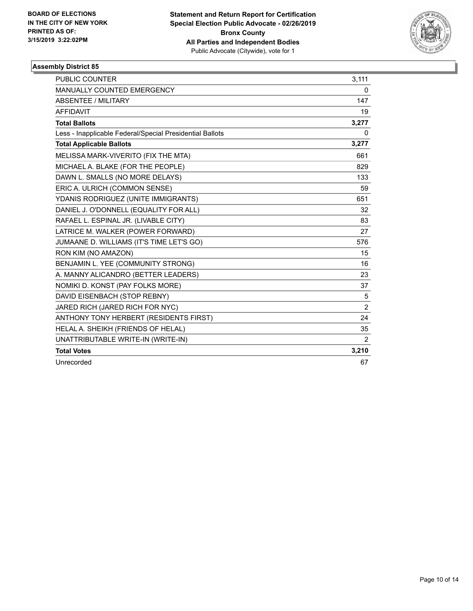

| PUBLIC COUNTER                                           | 3,111          |
|----------------------------------------------------------|----------------|
| <b>MANUALLY COUNTED EMERGENCY</b>                        | 0              |
| <b>ABSENTEE / MILITARY</b>                               | 147            |
| <b>AFFIDAVIT</b>                                         | 19             |
| <b>Total Ballots</b>                                     | 3,277          |
| Less - Inapplicable Federal/Special Presidential Ballots | $\Omega$       |
| <b>Total Applicable Ballots</b>                          | 3,277          |
| MELISSA MARK-VIVERITO (FIX THE MTA)                      | 661            |
| MICHAEL A. BLAKE (FOR THE PEOPLE)                        | 829            |
| DAWN L. SMALLS (NO MORE DELAYS)                          | 133            |
| ERIC A. ULRICH (COMMON SENSE)                            | 59             |
| YDANIS RODRIGUEZ (UNITE IMMIGRANTS)                      | 651            |
| DANIEL J. O'DONNELL (EQUALITY FOR ALL)                   | 32             |
| RAFAEL L. ESPINAL JR. (LIVABLE CITY)                     | 83             |
| LATRICE M. WALKER (POWER FORWARD)                        | 27             |
| JUMAANE D. WILLIAMS (IT'S TIME LET'S GO)                 | 576            |
| RON KIM (NO AMAZON)                                      | 15             |
| BENJAMIN L. YEE (COMMUNITY STRONG)                       | 16             |
| A. MANNY ALICANDRO (BETTER LEADERS)                      | 23             |
| NOMIKI D. KONST (PAY FOLKS MORE)                         | 37             |
| DAVID EISENBACH (STOP REBNY)                             | 5              |
| JARED RICH (JARED RICH FOR NYC)                          | $\overline{2}$ |
| ANTHONY TONY HERBERT (RESIDENTS FIRST)                   | 24             |
| HELAL A. SHEIKH (FRIENDS OF HELAL)                       | 35             |
| UNATTRIBUTABLE WRITE-IN (WRITE-IN)                       | $\overline{2}$ |
| <b>Total Votes</b>                                       | 3,210          |
| Unrecorded                                               | 67             |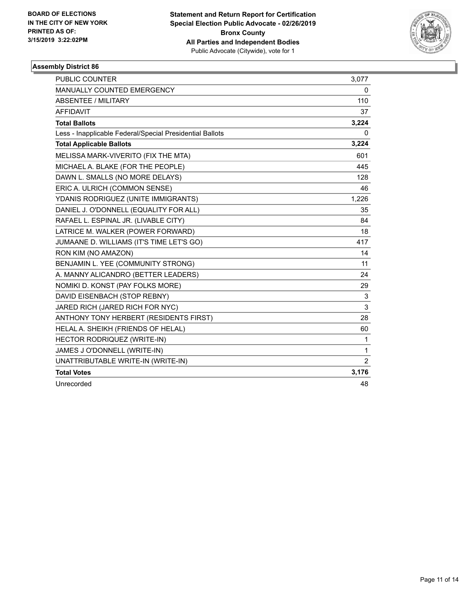

| <b>PUBLIC COUNTER</b>                                    | 3,077          |
|----------------------------------------------------------|----------------|
| <b>MANUALLY COUNTED EMERGENCY</b>                        | 0              |
| <b>ABSENTEE / MILITARY</b>                               | 110            |
| <b>AFFIDAVIT</b>                                         | 37             |
| <b>Total Ballots</b>                                     | 3,224          |
| Less - Inapplicable Federal/Special Presidential Ballots | 0              |
| <b>Total Applicable Ballots</b>                          | 3,224          |
| MELISSA MARK-VIVERITO (FIX THE MTA)                      | 601            |
| MICHAEL A. BLAKE (FOR THE PEOPLE)                        | 445            |
| DAWN L. SMALLS (NO MORE DELAYS)                          | 128            |
| ERIC A. ULRICH (COMMON SENSE)                            | 46             |
| YDANIS RODRIGUEZ (UNITE IMMIGRANTS)                      | 1,226          |
| DANIEL J. O'DONNELL (EQUALITY FOR ALL)                   | 35             |
| RAFAEL L. ESPINAL JR. (LIVABLE CITY)                     | 84             |
| LATRICE M. WALKER (POWER FORWARD)                        | 18             |
| JUMAANE D. WILLIAMS (IT'S TIME LET'S GO)                 | 417            |
| RON KIM (NO AMAZON)                                      | 14             |
| BENJAMIN L. YEE (COMMUNITY STRONG)                       | 11             |
| A. MANNY ALICANDRO (BETTER LEADERS)                      | 24             |
| NOMIKI D. KONST (PAY FOLKS MORE)                         | 29             |
| DAVID EISENBACH (STOP REBNY)                             | 3              |
| JARED RICH (JARED RICH FOR NYC)                          | 3              |
| ANTHONY TONY HERBERT (RESIDENTS FIRST)                   | 28             |
| HELAL A. SHEIKH (FRIENDS OF HELAL)                       | 60             |
| HECTOR RODRIQUEZ (WRITE-IN)                              | $\mathbf{1}$   |
| JAMES J O'DONNELL (WRITE-IN)                             | $\mathbf{1}$   |
| UNATTRIBUTABLE WRITE-IN (WRITE-IN)                       | $\overline{2}$ |
| <b>Total Votes</b>                                       | 3,176          |
| Unrecorded                                               | 48             |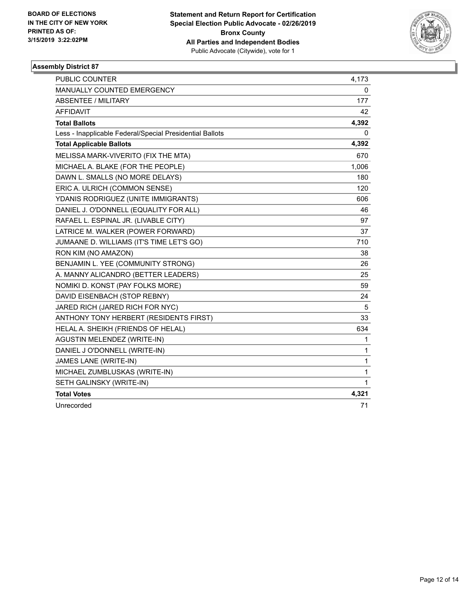

| <b>PUBLIC COUNTER</b>                                    | 4,173 |
|----------------------------------------------------------|-------|
| MANUALLY COUNTED EMERGENCY                               | 0     |
| <b>ABSENTEE / MILITARY</b>                               | 177   |
| <b>AFFIDAVIT</b>                                         | 42    |
| <b>Total Ballots</b>                                     | 4,392 |
| Less - Inapplicable Federal/Special Presidential Ballots | 0     |
| <b>Total Applicable Ballots</b>                          | 4,392 |
| MELISSA MARK-VIVERITO (FIX THE MTA)                      | 670   |
| MICHAEL A. BLAKE (FOR THE PEOPLE)                        | 1,006 |
| DAWN L. SMALLS (NO MORE DELAYS)                          | 180   |
| ERIC A. ULRICH (COMMON SENSE)                            | 120   |
| YDANIS RODRIGUEZ (UNITE IMMIGRANTS)                      | 606   |
| DANIEL J. O'DONNELL (EQUALITY FOR ALL)                   | 46    |
| RAFAEL L. ESPINAL JR. (LIVABLE CITY)                     | 97    |
| LATRICE M. WALKER (POWER FORWARD)                        | 37    |
| JUMAANE D. WILLIAMS (IT'S TIME LET'S GO)                 | 710   |
| RON KIM (NO AMAZON)                                      | 38    |
| BENJAMIN L. YEE (COMMUNITY STRONG)                       | 26    |
| A. MANNY ALICANDRO (BETTER LEADERS)                      | 25    |
| NOMIKI D. KONST (PAY FOLKS MORE)                         | 59    |
| DAVID EISENBACH (STOP REBNY)                             | 24    |
| JARED RICH (JARED RICH FOR NYC)                          | 5     |
| ANTHONY TONY HERBERT (RESIDENTS FIRST)                   | 33    |
| HELAL A. SHEIKH (FRIENDS OF HELAL)                       | 634   |
| AGUSTIN MELENDEZ (WRITE-IN)                              | 1     |
| DANIEL J O'DONNELL (WRITE-IN)                            | 1     |
| JAMES LANE (WRITE-IN)                                    | 1     |
| MICHAEL ZUMBLUSKAS (WRITE-IN)                            | 1     |
| SETH GALINSKY (WRITE-IN)                                 | 1     |
| <b>Total Votes</b>                                       | 4,321 |
| Unrecorded                                               | 71    |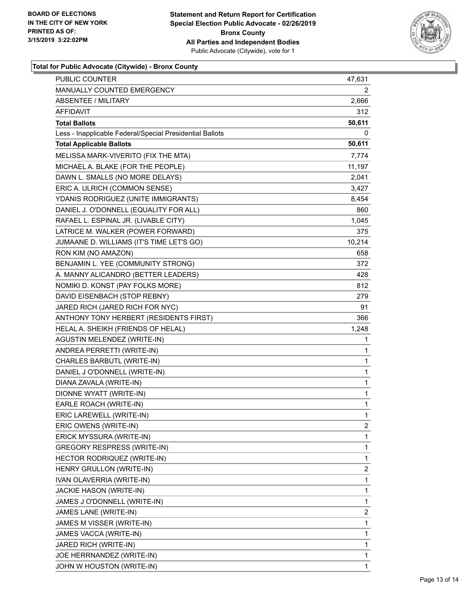

### **Total for Public Advocate (Citywide) - Bronx County**

| <b>PUBLIC COUNTER</b>                                    | 47,631                  |
|----------------------------------------------------------|-------------------------|
| MANUALLY COUNTED EMERGENCY                               | 2                       |
| <b>ABSENTEE / MILITARY</b>                               | 2,666                   |
| AFFIDAVIT                                                | 312                     |
| <b>Total Ballots</b>                                     | 50,611                  |
| Less - Inapplicable Federal/Special Presidential Ballots | 0                       |
| <b>Total Applicable Ballots</b>                          | 50,611                  |
| MELISSA MARK-VIVERITO (FIX THE MTA)                      | 7,774                   |
| MICHAEL A. BLAKE (FOR THE PEOPLE)                        | 11,197                  |
| DAWN L. SMALLS (NO MORE DELAYS)                          | 2,041                   |
| ERIC A. ULRICH (COMMON SENSE)                            | 3,427                   |
| YDANIS RODRIGUEZ (UNITE IMMIGRANTS)                      | 8,454                   |
| DANIEL J. O'DONNELL (EQUALITY FOR ALL)                   | 860                     |
| RAFAEL L. ESPINAL JR. (LIVABLE CITY)                     | 1,045                   |
| LATRICE M. WALKER (POWER FORWARD)                        | 375                     |
| JUMAANE D. WILLIAMS (IT'S TIME LET'S GO)                 | 10,214                  |
| RON KIM (NO AMAZON)                                      | 658                     |
| BENJAMIN L. YEE (COMMUNITY STRONG)                       | 372                     |
| A. MANNY ALICANDRO (BETTER LEADERS)                      | 428                     |
| NOMIKI D. KONST (PAY FOLKS MORE)                         | 812                     |
| DAVID EISENBACH (STOP REBNY)                             | 279                     |
| JARED RICH (JARED RICH FOR NYC)                          | 91                      |
| ANTHONY TONY HERBERT (RESIDENTS FIRST)                   | 366                     |
| HELAL A. SHEIKH (FRIENDS OF HELAL)                       | 1,248                   |
| <b>AGUSTIN MELENDEZ (WRITE-IN)</b>                       | 1                       |
| ANDREA PERRETTI (WRITE-IN)                               | 1                       |
| CHARLES BARBUTL (WRITE-IN)                               | 1                       |
| DANIEL J O'DONNELL (WRITE-IN)                            | 1                       |
| DIANA ZAVALA (WRITE-IN)                                  | 1                       |
| DIONNE WYATT (WRITE-IN)                                  | 1                       |
| EARLE ROACH (WRITE-IN)                                   | 1                       |
| ERIC LAREWELL (WRITE-IN)                                 | $\mathbf{1}$            |
| ERIC OWENS (WRITE-IN)                                    | $\overline{c}$          |
| ERICK MYSSURA (WRITE-IN)                                 | 1                       |
| <b>GREGORY RESPRESS (WRITE-IN)</b>                       | 1                       |
| HECTOR RODRIQUEZ (WRITE-IN)                              | 1                       |
| HENRY GRULLON (WRITE-IN)                                 | 2                       |
| IVAN OLAVERRIA (WRITE-IN)                                | 1                       |
| JACKIE HASON (WRITE-IN)                                  | 1                       |
| JAMES J O'DONNELL (WRITE-IN)                             | 1                       |
| JAMES LANE (WRITE-IN)                                    | $\overline{\mathbf{c}}$ |
| JAMES M VISSER (WRITE-IN)                                | 1                       |
| JAMES VACCA (WRITE-IN)                                   | 1                       |
| JARED RICH (WRITE-IN)                                    | 1                       |
| JOE HERRNANDEZ (WRITE-IN)                                | 1                       |
| JOHN W HOUSTON (WRITE-IN)                                | 1                       |